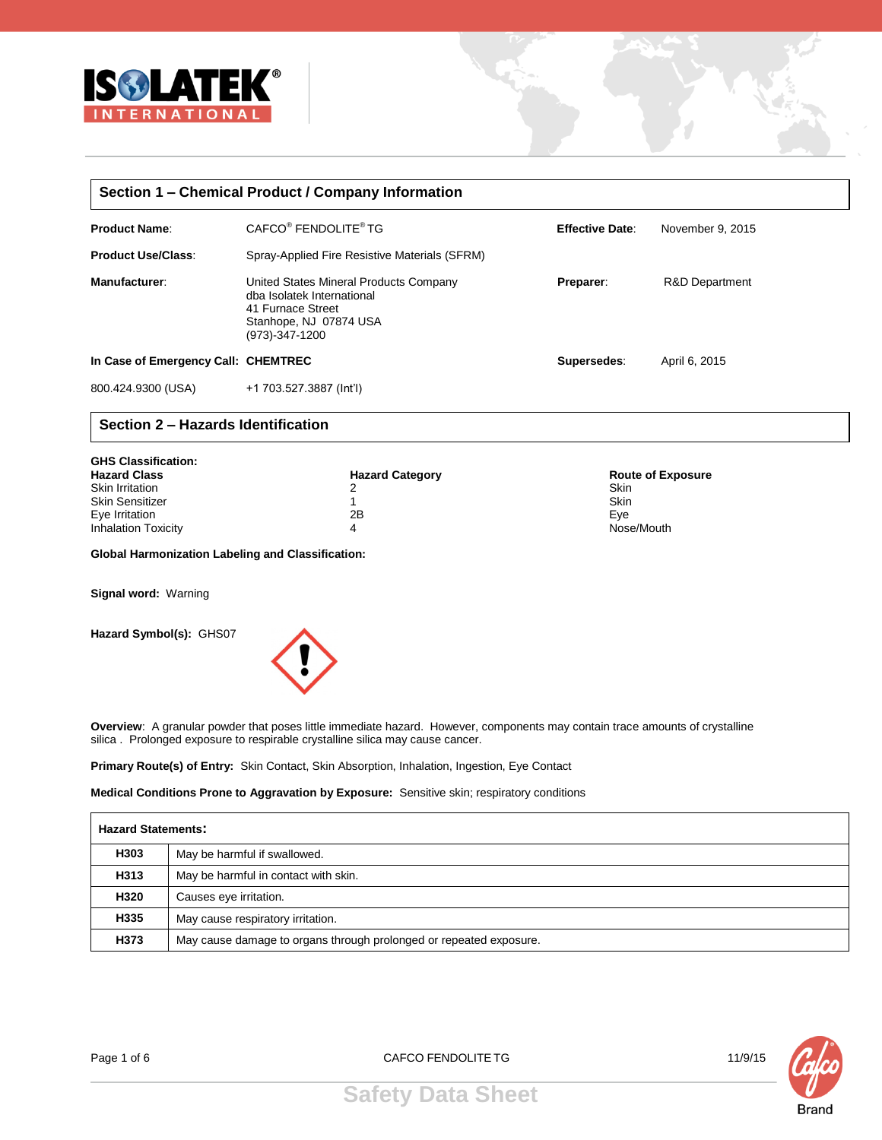

| Section 1 – Chemical Product / Company Information |                                                                                                                                       |                        |                           |  |  |  |  |
|----------------------------------------------------|---------------------------------------------------------------------------------------------------------------------------------------|------------------------|---------------------------|--|--|--|--|
| <b>Product Name:</b>                               | CAFCO <sup>®</sup> FENDOLITE <sup>®</sup> TG                                                                                          | <b>Effective Date:</b> | November 9, 2015          |  |  |  |  |
| <b>Product Use/Class:</b>                          | Spray-Applied Fire Resistive Materials (SFRM)                                                                                         |                        |                           |  |  |  |  |
| Manufacturer:                                      | United States Mineral Products Company<br>dba Isolatek International<br>41 Furnace Street<br>Stanhope, NJ 07874 USA<br>(973)-347-1200 | Preparer:              | <b>R&amp;D Department</b> |  |  |  |  |
| In Case of Emergency Call: CHEMTREC                |                                                                                                                                       | Supersedes:            | April 6, 2015             |  |  |  |  |
| 800.424.9300 (USA)                                 | +1 703.527.3887 (Int'l)                                                                                                               |                        |                           |  |  |  |  |

# **Section 2 – Hazards Identification**

| <b>GHS Classification:</b><br><b>Hazard Class</b> | <b>Hazard Category</b> | <b>Route of Exposure</b> |
|---------------------------------------------------|------------------------|--------------------------|
| Skin Irritation                                   | 2                      | Skin                     |
| <b>Skin Sensitizer</b>                            |                        | Skin                     |
| Eye Irritation                                    | 2B                     | Eve                      |
| <b>Inhalation Toxicity</b>                        | 4                      | Nose/Mouth               |

**Global Harmonization Labeling and Classification:**

**Signal word:** Warning

**Hazard Symbol(s):** GHS07



**Overview**: A granular powder that poses little immediate hazard. However, components may contain trace amounts of crystalline silica . Prolonged exposure to respirable crystalline silica may cause cancer.

**Primary Route(s) of Entry:** Skin Contact, Skin Absorption, Inhalation, Ingestion, Eye Contact

**Medical Conditions Prone to Aggravation by Exposure:** Sensitive skin; respiratory conditions

|      | <b>Hazard Statements:</b>                                          |  |  |  |
|------|--------------------------------------------------------------------|--|--|--|
| H303 | May be harmful if swallowed.                                       |  |  |  |
| H313 | May be harmful in contact with skin.                               |  |  |  |
| H320 | Causes eye irritation.                                             |  |  |  |
| H335 | May cause respiratory irritation.                                  |  |  |  |
| H373 | May cause damage to organs through prolonged or repeated exposure. |  |  |  |

Page 1 of 6 CAFCO FENDOLITE TG 11/9/15

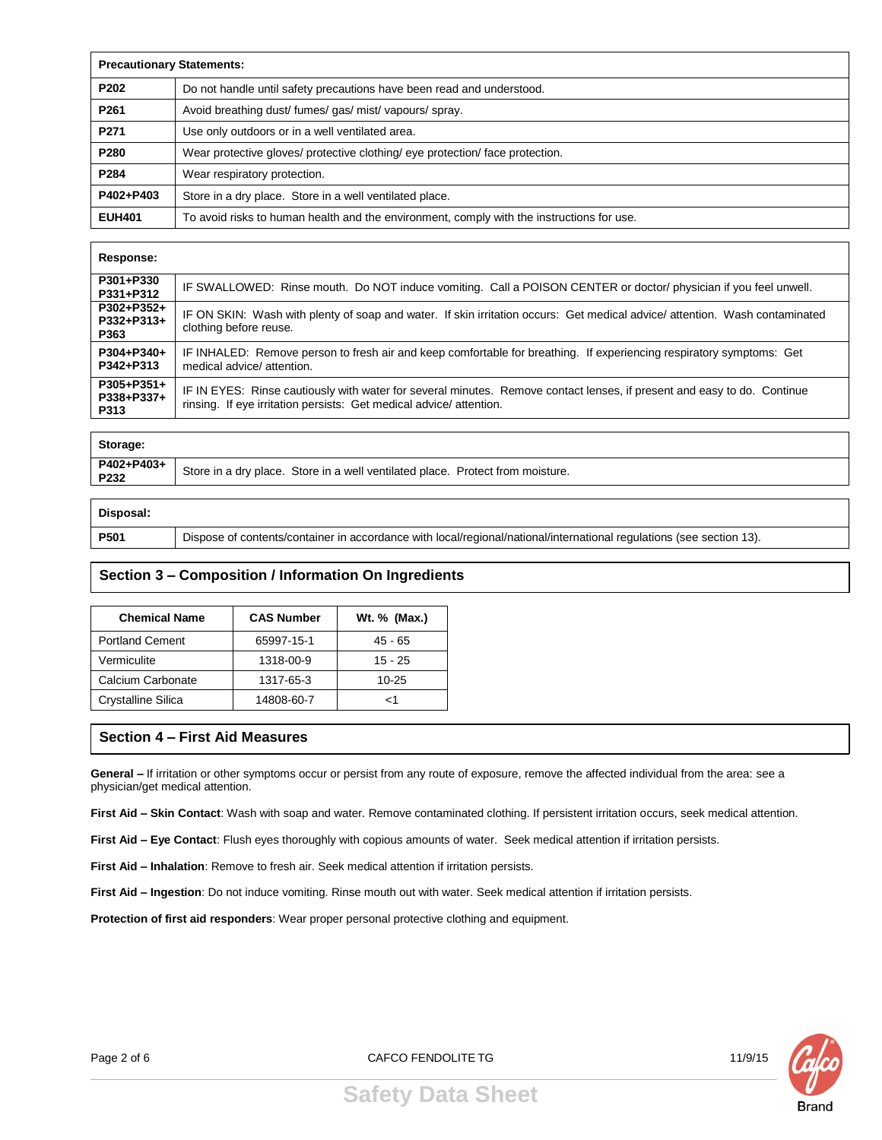| <b>Precautionary Statements:</b> |                                                                                           |  |  |
|----------------------------------|-------------------------------------------------------------------------------------------|--|--|
| P202                             | Do not handle until safety precautions have been read and understood.                     |  |  |
| P261                             | Avoid breathing dust/fumes/gas/mist/vapours/spray.                                        |  |  |
| P271                             | Use only outdoors or in a well ventilated area.                                           |  |  |
| P280                             | Wear protective gloves/ protective clothing/ eye protection/ face protection.             |  |  |
| P284                             | Wear respiratory protection.                                                              |  |  |
| P402+P403                        | Store in a dry place. Store in a well ventilated place.                                   |  |  |
| <b>EUH401</b>                    | To avoid risks to human health and the environment, comply with the instructions for use. |  |  |

#### **Response:**

| P301+P330<br>P331+P312                       | IF SWALLOWED: Rinse mouth. Do NOT induce vomiting. Call a POISON CENTER or doctor/ physician if you feel unwell.                                                                              |
|----------------------------------------------|-----------------------------------------------------------------------------------------------------------------------------------------------------------------------------------------------|
| P302+P352+<br>P332+P313+<br>P363             | IF ON SKIN: Wash with plenty of soap and water. If skin irritation occurs: Get medical advice/attention. Wash contaminated<br>clothing before reuse.                                          |
| P304+P340+<br>P342+P313                      | IF INHALED: Remove person to fresh air and keep comfortable for breathing. If experiencing respiratory symptoms: Get<br>medical advice/ attention.                                            |
| $P305 + P351 +$<br>P338+P337+<br><b>P313</b> | IF IN EYES: Rinse cautiously with water for several minutes. Remove contact lenses, if present and easy to do. Continue<br>rinsing. If eye irritation persists: Get medical advice/attention. |
|                                              |                                                                                                                                                                                               |

| Storage:           |                                                                                |
|--------------------|--------------------------------------------------------------------------------|
| P402+P403+<br>P232 | Store in a dry place. Store in a well ventilated place. Protect from moisture. |
|                    |                                                                                |

#### **Disposal:**

**P501** Dispose of contents/container in accordance with local/regional/national/international regulations (see section 13).

# **Section 3 – Composition / Information On Ingredients**

| <b>Chemical Name</b>      | <b>CAS Number</b> | Wt. % (Max.) |  |  |
|---------------------------|-------------------|--------------|--|--|
| <b>Portland Cement</b>    | 65997-15-1        | $45 - 65$    |  |  |
| Vermiculite               | 1318-00-9         | $15 - 25$    |  |  |
| Calcium Carbonate         | 1317-65-3         | $10 - 25$    |  |  |
| <b>Crystalline Silica</b> | 14808-60-7        | ہ ۔          |  |  |

# **Section 4 – First Aid Measures**

General – If irritation or other symptoms occur or persist from any route of exposure, remove the affected individual from the area: see a physician/get medical attention.

**First Aid – Skin Contact**: Wash with soap and water. Remove contaminated clothing. If persistent irritation occurs, seek medical attention.

**First Aid – Eye Contact**: Flush eyes thoroughly with copious amounts of water. Seek medical attention if irritation persists.

**First Aid – Inhalation**: Remove to fresh air. Seek medical attention if irritation persists.

**First Aid – Ingestion**: Do not induce vomiting. Rinse mouth out with water. Seek medical attention if irritation persists.

**Protection of first aid responders**: Wear proper personal protective clothing and equipment.



Page 2 of 6 CAFCO FENDOLITE TG 2 of 6 11/9/15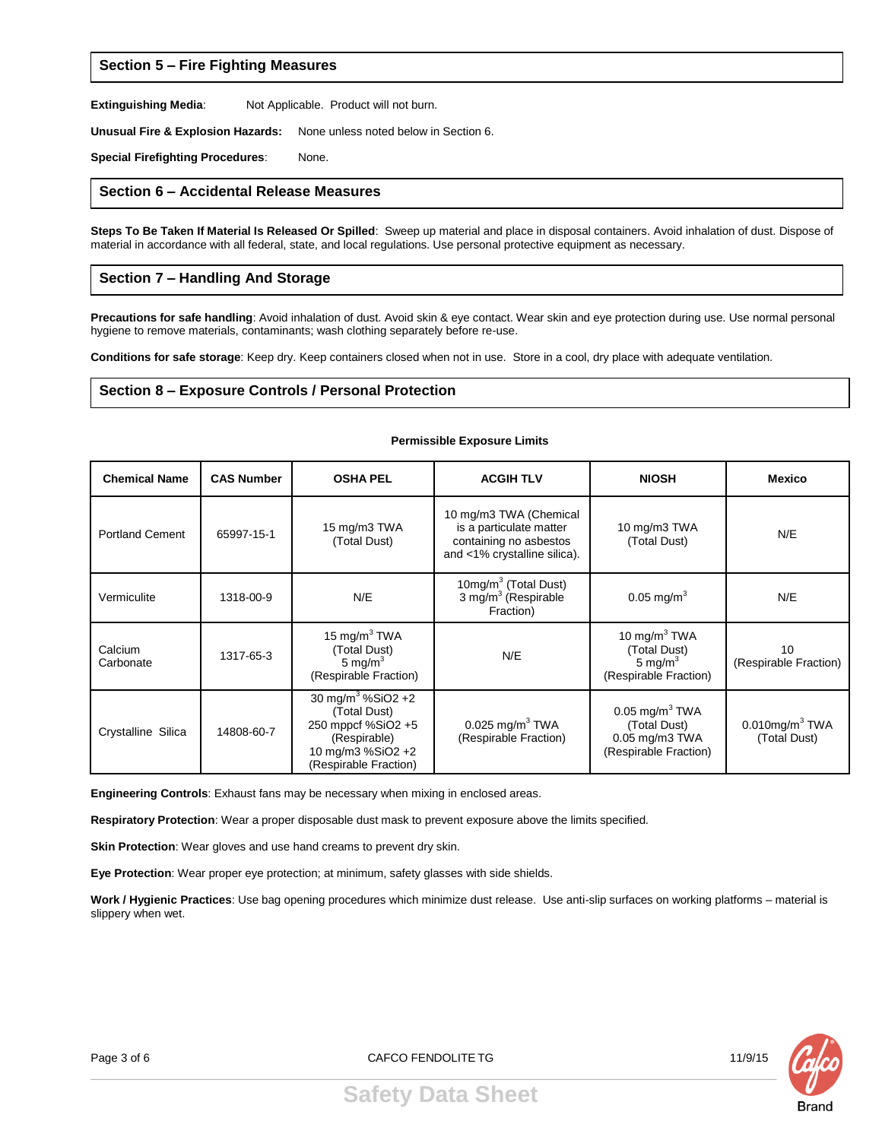# **Section 5 – Fire Fighting Measures**

**Extinguishing Media:** Not Applicable. Product will not burn.

**Unusual Fire & Explosion Hazards:** None unless noted below in Section 6.

**Special Firefighting Procedures**: None.

#### **Section 6 – Accidental Release Measures**

**Steps To Be Taken If Material Is Released Or Spilled**: Sweep up material and place in disposal containers. Avoid inhalation of dust. Dispose of material in accordance with all federal, state, and local regulations. Use personal protective equipment as necessary.

## **Section 7 – Handling And Storage**

**Precautions for safe handling**: Avoid inhalation of dust. Avoid skin & eye contact. Wear skin and eye protection during use. Use normal personal hygiene to remove materials, contaminants; wash clothing separately before re-use.

**Permissible Exposure Limits**

**Conditions for safe storage**: Keep dry. Keep containers closed when not in use. Store in a cool, dry place with adequate ventilation.

#### **Section 8 – Exposure Controls / Personal Protection**

#### **Chemical Name CAS Number OSHA PEL ACGIH TLV NIOSH Mexico** Portland Cement 65997-15-1 15 mg/m3 TWA (Total Dust) 10 mg/m3 TWA (Chemical is a particulate matter containing no asbestos and <1% crystalline silica). 10 mg/m3 TWA (Total Dust) N/E Vermiculite 1318-00-9 N/E 10mg/m $3$  (Total Dust)<br>3 mg/m $3$  (Respirable Fraction)  $0.05 \text{ mg/m}^3$  N/E Calcium Carbonate 1317-65-3 15 mg/m $3$  TWA (Total Dust) 5 mg/ $m<sup>3</sup>$ (Respirable Fraction) N/E 10 mg/m $3$  TWA (Total Dust) 5 mg/ $m<sup>3</sup>$ (Respirable Fraction) 10 (Respirable Fraction) Crystalline Silica | 14808-60-7 30 mg/m<sup>3</sup> %SiO2 +2 (Total Dust) 250 mppcf %SiO2 +5 (Respirable) 10 mg/m3 %SiO2 +2 (Respirable Fraction)  $0.025$  mg/m $^3$  TWA (Respirable Fraction)  $0.05$  mg/m $^3$  TWA (Total Dust) 0.05 mg/m3 TWA (Respirable Fraction)  $0.010$ mg/m $3$  TWA (Total Dust)

**Engineering Controls**: Exhaust fans may be necessary when mixing in enclosed areas.

**Respiratory Protection**: Wear a proper disposable dust mask to prevent exposure above the limits specified.

**Skin Protection**: Wear gloves and use hand creams to prevent dry skin.

**Eye Protection**: Wear proper eye protection; at minimum, safety glasses with side shields.

**Work / Hygienic Practices**: Use bag opening procedures which minimize dust release. Use anti-slip surfaces on working platforms – material is slippery when wet.



Page 3 of 6 CAFCO FENDOLITE TG 2006 2016 11/9/15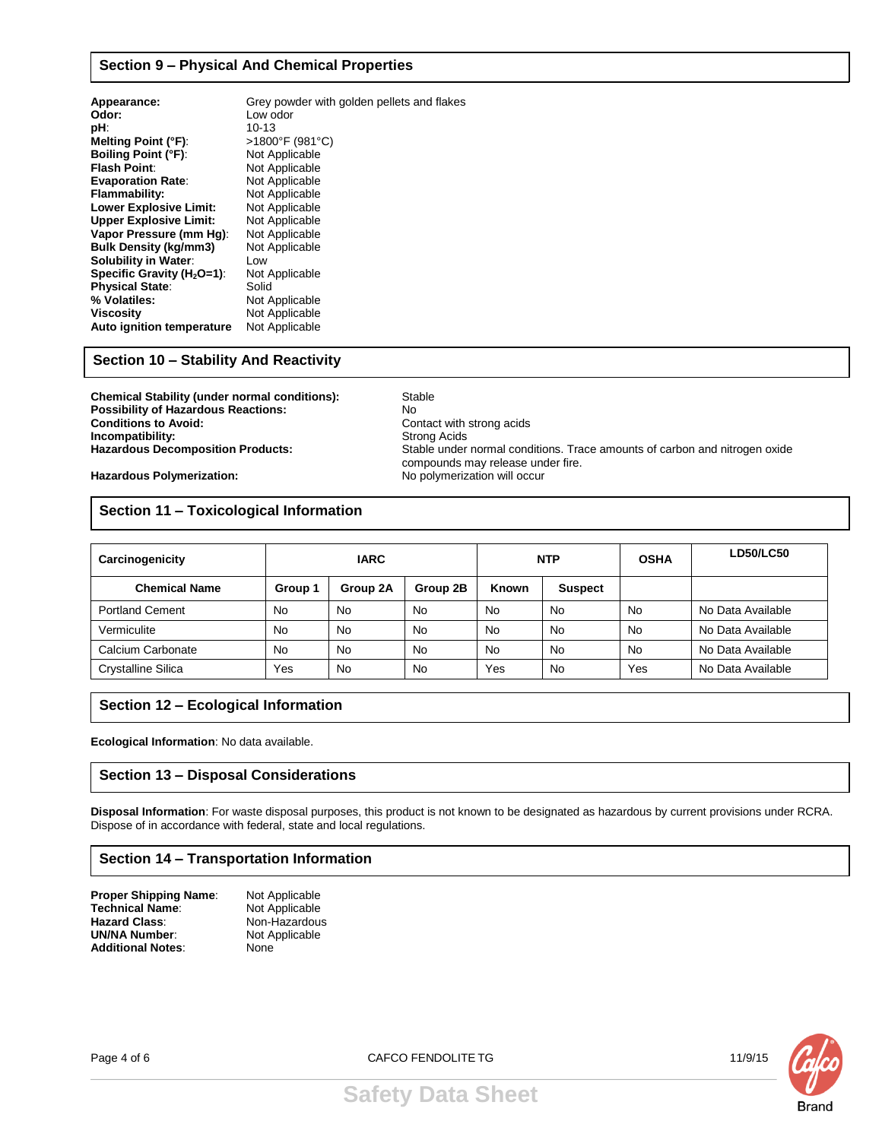## **Section 9 – Physical And Chemical Properties**

| Appearance:                    | Grey powder with golden pellets and flakes |
|--------------------------------|--------------------------------------------|
| Odor:                          | Low odor                                   |
| pH.                            | 10-13                                      |
| Melting Point (°F):            | >1800°F (981°C)                            |
| <b>Boiling Point (°F):</b>     | Not Applicable                             |
| <b>Flash Point:</b>            | Not Applicable                             |
| <b>Evaporation Rate:</b>       | Not Applicable                             |
| Flammability:                  | Not Applicable                             |
| <b>Lower Explosive Limit:</b>  | Not Applicable                             |
| <b>Upper Explosive Limit:</b>  | Not Applicable                             |
| Vapor Pressure (mm Hg):        | Not Applicable                             |
| <b>Bulk Density (kg/mm3)</b>   | Not Applicable                             |
| <b>Solubility in Water:</b>    | Low                                        |
| Specific Gravity ( $H_2O=1$ ): | Not Applicable                             |
| <b>Physical State:</b>         | Solid                                      |
| % Volatiles:                   | Not Applicable                             |
| <b>Viscosity</b>               | Not Applicable                             |
| Auto ignition temperature      | Not Applicable                             |

# **Section 10 – Stability And Reactivity**

**Chemical Stability (under normal conditions):** Stable<br> **Possibility of Hazardous Reactions:** No **Possibility of Hazardous Reactions:**<br>Conditions to Avoid: **Incompatibility: Incompatibility:** Strong Acids<br> **Indianal Products:** Stable under

Contact with strong acids Stable under normal conditions. Trace amounts of carbon and nitrogen oxide compounds may release under fire. Hazardous Polymerization: **Mazardous Polymerization:** No polymerization will occur

**Section 11 – Toxicological Information**

| Carcinogenicity           | <b>IARC</b> |          | <b>NTP</b> |              | <b>OSHA</b> | <b>LD50/LC50</b> |                   |
|---------------------------|-------------|----------|------------|--------------|-------------|------------------|-------------------|
| <b>Chemical Name</b>      | Group 1     | Group 2A | Group 2B   | <b>Known</b> | Suspect     |                  |                   |
| <b>Portland Cement</b>    | <b>No</b>   | No       | <b>No</b>  | No.          | <b>No</b>   | No               | No Data Available |
| Vermiculite               | <b>No</b>   | No       | <b>No</b>  | <b>No</b>    | <b>No</b>   | <b>No</b>        | No Data Available |
| Calcium Carbonate         | <b>No</b>   | No       | <b>No</b>  | <b>No</b>    | <b>No</b>   | <b>No</b>        | No Data Available |
| <b>Crystalline Silica</b> | Yes         | No       | No         | Yes          | No          | Yes              | No Data Available |

# **Section 12 – Ecological Information**

**Ecological Information**: No data available.

# **Section 13 – Disposal Considerations**

**Disposal Information**: For waste disposal purposes, this product is not known to be designated as hazardous by current provisions under RCRA. Dispose of in accordance with federal, state and local regulations.

# **Section 14 – Transportation Information**

| Proper Shipping Name:    | Not Applicable |
|--------------------------|----------------|
| Technical Name:          | Not Applicable |
| <b>Hazard Class:</b>     | Non-Hazardous  |
| <b>UN/NA Number:</b>     | Not Applicable |
| <b>Additional Notes:</b> | None           |
|                          |                |

Page 4 of 6 CAFCO FENDOLITE TG 2006 11/9/15



**Brand**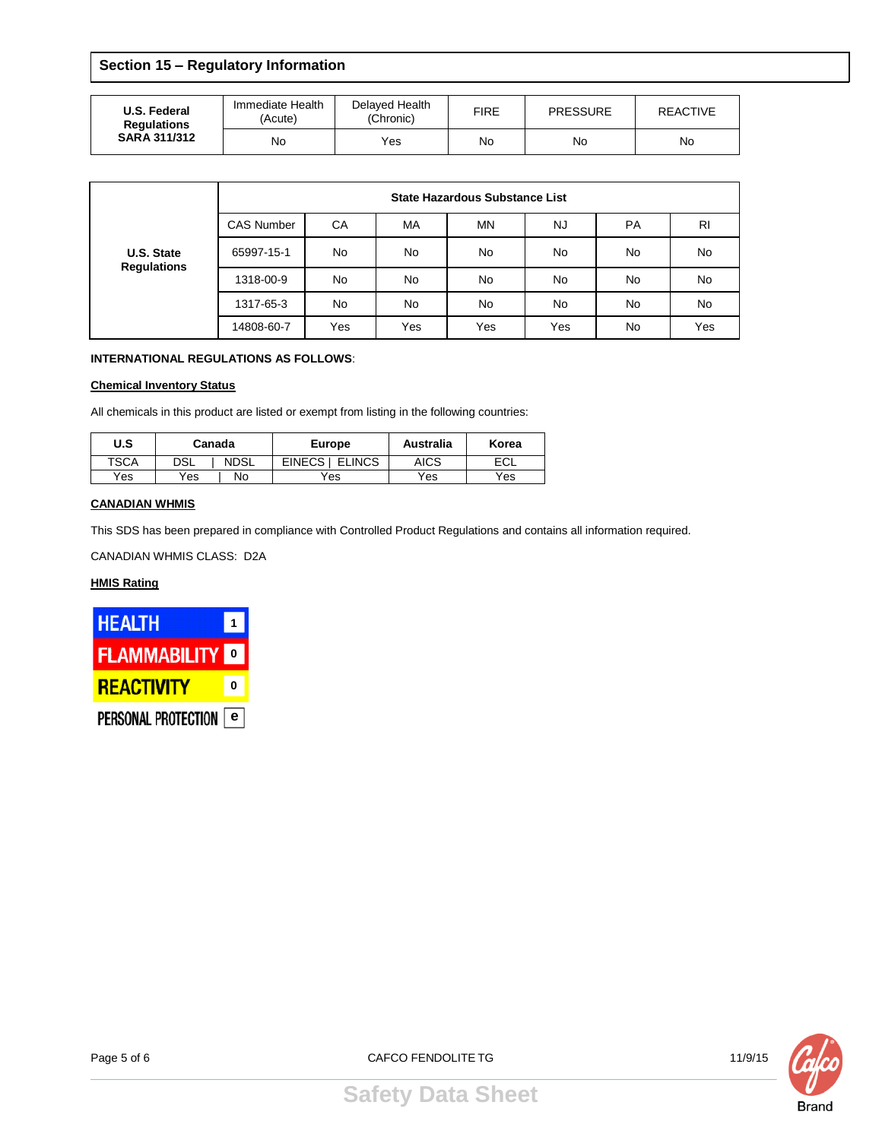# **Section 15 – Regulatory Information**

| U.S. Federal<br><b>Regulations</b><br><b>SARA 311/312</b> | Immediate Health<br>(Acute) | Delaved Health<br>(Chronic) | <b>FIRE</b> | <b>PRESSURE</b> | REACTIVE |  |
|-----------------------------------------------------------|-----------------------------|-----------------------------|-------------|-----------------|----------|--|
|                                                           | No                          | Yes                         | No          | No              | No       |  |

|                                  | State Hazardous Substance List |           |           |     |           |           |                |  |
|----------------------------------|--------------------------------|-----------|-----------|-----|-----------|-----------|----------------|--|
|                                  | <b>CAS Number</b>              | CA        | MA        | ΜN  | NJ.       | <b>PA</b> | R <sub>l</sub> |  |
| U.S. State<br><b>Regulations</b> | 65997-15-1                     | No        | <b>No</b> | No. | No        | No        | No             |  |
|                                  | 1318-00-9                      | <b>No</b> | No        | No. | No        | <b>No</b> | No             |  |
|                                  | 1317-65-3                      | <b>No</b> | <b>No</b> | No. | <b>No</b> | <b>No</b> | No             |  |
|                                  | 14808-60-7                     | Yes       | Yes       | Yes | Yes       | No        | Yes            |  |

## **INTERNATIONAL REGULATIONS AS FOLLOWS**:

### **Chemical Inventory Status**

All chemicals in this product are listed or exempt from listing in the following countries:

| U.S         | Canada     |             | <b>Europe</b>             | <b>Australia</b> | Korea |
|-------------|------------|-------------|---------------------------|------------------|-------|
| <b>TSCA</b> | <b>DSL</b> | <b>NDSL</b> | <b>ELINCS</b><br>EINECS I | AICS             | ECL   |
| Yes         | Yes        | No          | Yes                       | Yes              | Yes   |

### **CANADIAN WHMIS**

This SDS has been prepared in compliance with Controlled Product Regulations and contains all information required.

CANADIAN WHMIS CLASS: D2A

## **HMIS Rating**





**Safety Data Sheet**